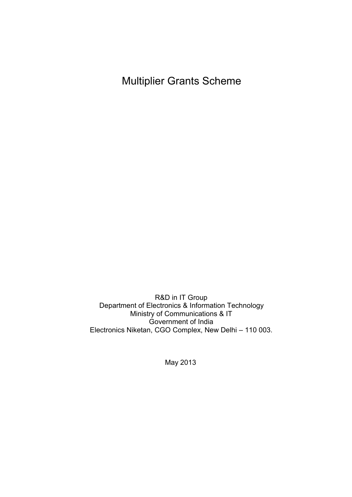Multiplier Grants Scheme

R&D in IT Group Department of Electronics & Information Technology Ministry of Communications & IT Government of India Electronics Niketan, CGO Complex, New Delhi – 110 003.

May 2013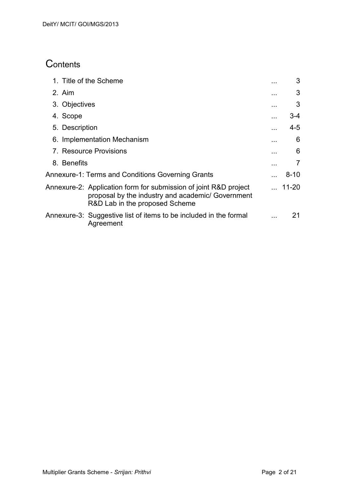# **Contents**

| 1. Title of the Scheme                                                                                                                                  | 3             |
|---------------------------------------------------------------------------------------------------------------------------------------------------------|---------------|
| 2. Aim                                                                                                                                                  | 3             |
| 3. Objectives                                                                                                                                           | 3             |
| 4. Scope                                                                                                                                                | 3-4           |
| 5. Description                                                                                                                                          | 4-5           |
| 6. Implementation Mechanism                                                                                                                             | 6             |
| 7. Resource Provisions                                                                                                                                  | 6             |
| 8. Benefits                                                                                                                                             | 7             |
| Annexure-1: Terms and Conditions Governing Grants                                                                                                       | $8 - 10$      |
| Annexure-2: Application form for submission of joint R&D project<br>proposal by the industry and academic/ Government<br>R&D Lab in the proposed Scheme | $\dots$ 11-20 |
| Annexure-3: Suggestive list of items to be included in the formal<br>Agreement                                                                          | 21            |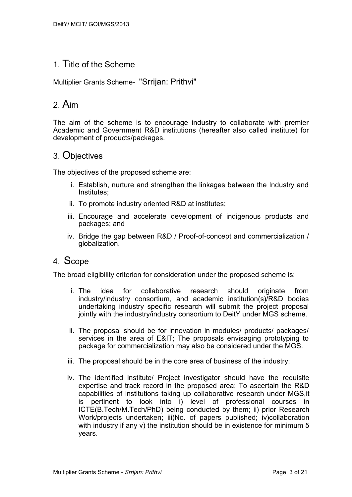# 1. Title of the Scheme

Multiplier Grants Scheme- "Srrijan: Prithvi"

# 2. Aim

The aim of the scheme is to encourage industry to collaborate with premier Academic and Government R&D institutions (hereafter also called institute) for development of products/packages.

# 3. Objectives

The objectives of the proposed scheme are:

- i. Establish, nurture and strengthen the linkages between the Industry and Institutes;
- ii. To promote industry oriented R&D at institutes;
- iii. Encourage and accelerate development of indigenous products and packages; and
- iv. Bridge the gap between R&D / Proof-of-concept and commercialization / globalization.

## 4. Scope

The broad eligibility criterion for consideration under the proposed scheme is:

- i. The idea for collaborative research should originate from industry/industry consortium, and academic institution(s)/R&D bodies undertaking industry specific research will submit the project proposal jointly with the industry/industry consortium to DeitY under MGS scheme.
- ii. The proposal should be for innovation in modules/ products/ packages/ services in the area of E⁢ The proposals envisaging prototyping to package for commercialization may also be considered under the MGS.
- iii. The proposal should be in the core area of business of the industry;
- iv. The identified institute/ Project investigator should have the requisite expertise and track record in the proposed area; To ascertain the R&D capabilities of institutions taking up collaborative research under MGS,it is pertinent to look into i) level of professional courses in ICTE(B.Tech/M.Tech/PhD) being conducted by them; ii) prior Research Work/projects undertaken; iii)No. of papers published; iv)collaboration with industry if any v) the institution should be in existence for minimum 5 years.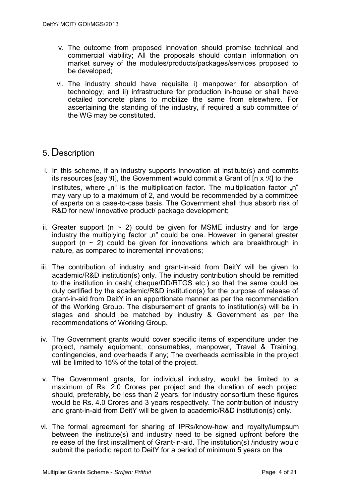- v. The outcome from proposed innovation should promise technical and commercial viability; All the proposals should contain information on market survey of the modules/products/packages/services proposed to be developed;
- vi. The industry should have requisite i) manpower for absorption of technology; and ii) infrastructure for production in-house or shall have detailed concrete plans to mobilize the same from elsewhere. For ascertaining the standing of the industry, if required a sub committee of the WG may be constituted.

# 5. Description

- i. In this scheme, if an industry supports innovation at institute(s) and commits its resources [say  $\mathfrak{R}$ ], the Government would commit a Grant of [n x  $\mathfrak{R}$ ] to the Institutes, where  $\mathbb{R}^n$  is the multiplication factor. The multiplication factor  $\mathbb{R}^n$ may vary up to a maximum of 2, and would be recommended by a committee of experts on a case-to-case basis. The Government shall thus absorb risk of R&D for new/ innovative product/ package development;
- ii. Greater support ( $n \sim 2$ ) could be given for MSME industry and for large industry the multiplying factor "n" could be one. However, in general greater support ( $n \sim 2$ ) could be given for innovations which are breakthrough in nature, as compared to incremental innovations;
- iii. The contribution of industry and grant-in-aid from DeitY will be given to academic/R&D institution(s) only. The industry contribution should be remitted to the institution in cash( cheque/DD/RTGS etc.) so that the same could be duly certified by the academic/R&D institution(s) for the purpose of release of grant-in-aid from DeitY in an apportionate manner as per the recommendation of the Working Group. The disbursement of grants to institution(s) will be in stages and should be matched by industry & Government as per the recommendations of Working Group.
- iv. The Government grants would cover specific items of expenditure under the project, namely equipment, consumables, manpower, Travel & Training, contingencies, and overheads if any; The overheads admissible in the project will be limited to 15% of the total of the project.
- v. The Government grants, for individual industry, would be limited to a maximum of Rs. 2.0 Crores per project and the duration of each project should, preferably, be less than 2 years; for industry consortium these figures would be Rs. 4.0 Crores and 3 years respectively. The contribution of industry and grant-in-aid from DeitY will be given to academic/R&D institution(s) only.
- vi. The formal agreement for sharing of IPRs/know-how and royalty/lumpsum between the institute(s) and industry need to be signed upfront before the release of the first installment of Grant-in-aid. The institution(s) /industry would submit the periodic report to DeitY for a period of minimum 5 years on the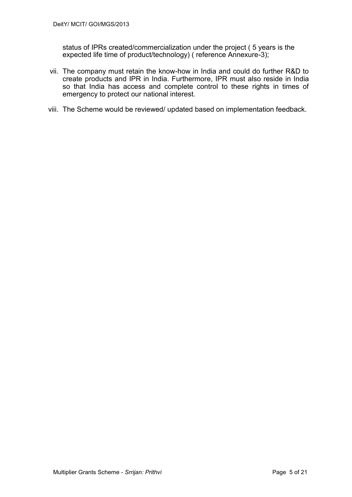status of IPRs created/commercialization under the project ( 5 years is the expected life time of product/technology) ( reference Annexure-3);

- vii. The company must retain the know-how in India and could do further R&D to create products and IPR in India. Furthermore, IPR must also reside in India so that India has access and complete control to these rights in times of emergency to protect our national interest.
- viii. The Scheme would be reviewed/ updated based on implementation feedback.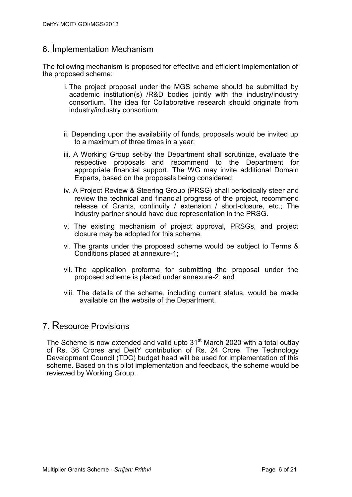## 6. Implementation Mechanism

The following mechanism is proposed for effective and efficient implementation of the proposed scheme:

- i. The project proposal under the MGS scheme should be submitted by academic institution(s) /R&D bodies jointly with the industry/industry consortium. The idea for Collaborative research should originate from industry/industry consortium
- ii. Depending upon the availability of funds, proposals would be invited up to a maximum of three times in a year;
- iii. A Working Group set-by the Department shall scrutinize, evaluate the respective proposals and recommend to the Department for appropriate financial support. The WG may invite additional Domain Experts, based on the proposals being considered;
- iv. A Project Review & Steering Group (PRSG) shall periodically steer and review the technical and financial progress of the project, recommend release of Grants, continuity / extension / short-closure, etc.; The industry partner should have due representation in the PRSG.
- v. The existing mechanism of project approval, PRSGs, and project closure may be adopted for this scheme.
- vi. The grants under the proposed scheme would be subject to Terms & Conditions placed at annexure-1;
- vii. The application proforma for submitting the proposal under the proposed scheme is placed under annexure-2; and
- viii. The details of the scheme, including current status, would be made available on the website of the Department.

## 7. Resource Provisions

The Scheme is now extended and valid upto 31<sup>st</sup> March 2020 with a total outlay of Rs. 36 Crores and DeitY contribution of Rs. 24 Crore. The Technology Development Council (TDC) budget head will be used for implementation of this scheme. Based on this pilot implementation and feedback, the scheme would be reviewed by Working Group.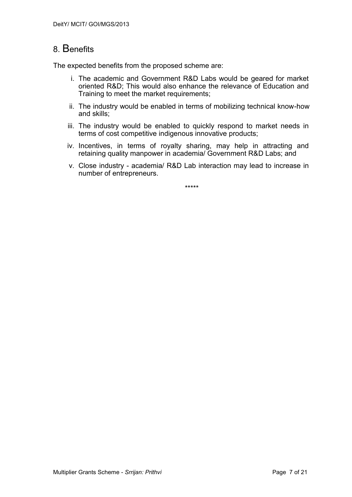# 8. Benefits

The expected benefits from the proposed scheme are:

- i. The academic and Government R&D Labs would be geared for market oriented R&D; This would also enhance the relevance of Education and Training to meet the market requirements;
- ii. The industry would be enabled in terms of mobilizing technical know-how and skills;
- iii. The industry would be enabled to quickly respond to market needs in terms of cost competitive indigenous innovative products;
- iv. Incentives, in terms of royalty sharing, may help in attracting and retaining quality manpower in academia/ Government R&D Labs; and
- v. Close industry academia/ R&D Lab interaction may lead to increase in number of entrepreneurs.

\*\*\*\*\*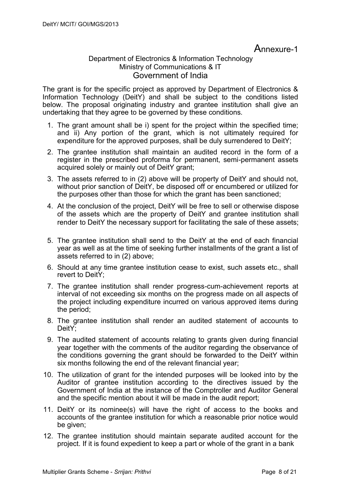Annexure-1

### Department of Electronics & Information Technology Ministry of Communications & IT Government of India

The grant is for the specific project as approved by Department of Electronics & Information Technology (DeitY) and shall be subject to the conditions listed below. The proposal originating industry and grantee institution shall give an undertaking that they agree to be governed by these conditions.

- 1. The grant amount shall be i) spent for the project within the specified time; and ii) Any portion of the grant, which is not ultimately required for expenditure for the approved purposes, shall be duly surrendered to DeitY;
- 2. The grantee institution shall maintain an audited record in the form of a register in the prescribed proforma for permanent, semi-permanent assets acquired solely or mainly out of DeitY grant;
- 3. The assets referred to in (2) above will be property of DeitY and should not, without prior sanction of DeitY, be disposed off or encumbered or utilized for the purposes other than those for which the grant has been sanctioned;
- 4. At the conclusion of the project, DeitY will be free to sell or otherwise dispose of the assets which are the property of DeitY and grantee institution shall render to DeitY the necessary support for facilitating the sale of these assets;
- 5. The grantee institution shall send to the DeitY at the end of each financial year as well as at the time of seeking further installments of the grant a list of assets referred to in (2) above;
- 6. Should at any time grantee institution cease to exist, such assets etc., shall revert to DeitY;
- 7. The grantee institution shall render progress-cum-achievement reports at interval of not exceeding six months on the progress made on all aspects of the project including expenditure incurred on various approved items during the period;
- 8. The grantee institution shall render an audited statement of accounts to DeitY:
- 9. The audited statement of accounts relating to grants given during financial year together with the comments of the auditor regarding the observance of the conditions governing the grant should be forwarded to the DeitY within six months following the end of the relevant financial year;
- 10. The utilization of grant for the intended purposes will be looked into by the Auditor of grantee institution according to the directives issued by the Government of India at the instance of the Comptroller and Auditor General and the specific mention about it will be made in the audit report;
- 11. DeitY or its nominee(s) will have the right of access to the books and accounts of the grantee institution for which a reasonable prior notice would be given;
- 12. The grantee institution should maintain separate audited account for the project. If it is found expedient to keep a part or whole of the grant in a bank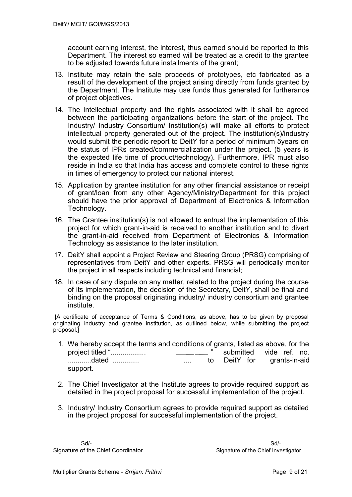account earning interest, the interest, thus earned should be reported to this Department. The interest so earned will be treated as a credit to the grantee to be adjusted towards future installments of the grant;

- 13. Institute may retain the sale proceeds of prototypes, etc fabricated as a result of the development of the project arising directly from funds granted by the Department. The Institute may use funds thus generated for furtherance of project objectives.
- 14. The Intellectual property and the rights associated with it shall be agreed between the participating organizations before the start of the project. The Industry/ Industry Consortium/ Institution(s) will make all efforts to protect intellectual property generated out of the project. The institution(s)/industry would submit the periodic report to DeitY for a period of minimum 5years on the status of IPRs created/commercialization under the project. (5 years is the expected life time of product/technology). Furthermore, IPR must also reside in India so that India has access and complete control to these rights in times of emergency to protect our national interest.
- 15. Application by grantee institution for any other financial assistance or receipt of grant/loan from any other Agency/Ministry/Department for this project should have the prior approval of Department of Electronics & Information Technology.
- 16. The Grantee institution(s) is not allowed to entrust the implementation of this project for which grant-in-aid is received to another institution and to divert the grant-in-aid received from Department of Electronics & Information Technology as assistance to the later institution.
- 17. DeitY shall appoint a Project Review and Steering Group (PRSG) comprising of representatives from DeitY and other experts. PRSG will periodically monitor the project in all respects including technical and financial;
- 18. In case of any dispute on any matter, related to the project during the course of its implementation, the decision of the Secretary, DeitY, shall be final and binding on the proposal originating industry/ industry consortium and grantee institute.

[A certificate of acceptance of Terms & Conditions, as above, has to be given by proposal originating industry and grantee institution, as outlined below, while submitting the project proposal.]

- 1. We hereby accept the terms and conditions of grants, listed as above, for the project titled ".................. .................. ............. " submitted vide ref. no. ............dated .............. .... to DeitY for grants-in-aid support.
- 2. The Chief Investigator at the Institute agrees to provide required support as detailed in the project proposal for successful implementation of the project.
- 3. Industry/ Industry Consortium agrees to provide required support as detailed in the project proposal for successful implementation of the project.

Signature of the Chief Coordinator Signature of the Chief Investigator

Sd/- Sd/-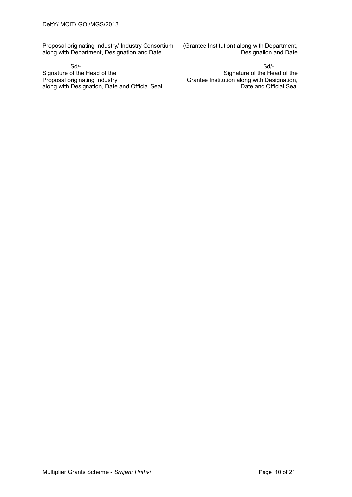Proposal originating Industry/ Industry Consortium (Grantee Institution) along with Department, along with Department, Designation and Date along with Department, Designation and Date

Sd/- Sd/- Signature of the Head of the<br>
Proposal originating Industry<br>
Crantee Institution along with Designation, along with Designation, Date and Official Seal

Grantee Institution along with Designation,<br>Date and Official Seal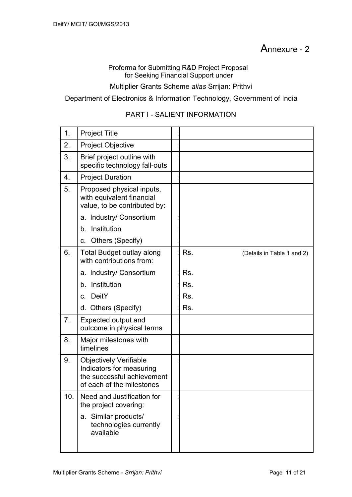# Annexure - 2

#### Proforma for Submitting R&D Project Proposal for Seeking Financial Support under

#### Multiplier Grants Scheme *alias* Srrijan: Prithvi

#### Department of Electronics & Information Technology, Government of India

#### PART I - SALIENT INFORMATION

| 1.  | <b>Project Title</b>                                                                                                 |                                   |
|-----|----------------------------------------------------------------------------------------------------------------------|-----------------------------------|
| 2.  | <b>Project Objective</b>                                                                                             |                                   |
| 3.  | Brief project outline with<br>specific technology fall-outs                                                          |                                   |
| 4.  | <b>Project Duration</b>                                                                                              |                                   |
| 5.  | Proposed physical inputs,<br>with equivalent financial<br>value, to be contributed by:                               |                                   |
|     | a. Industry/ Consortium                                                                                              |                                   |
|     | b. Institution                                                                                                       |                                   |
|     | c. Others (Specify)                                                                                                  |                                   |
| 6.  | <b>Total Budget outlay along</b><br>with contributions from:                                                         | Rs.<br>(Details in Table 1 and 2) |
|     | a. Industry/ Consortium                                                                                              | Rs.                               |
|     | Institution<br>b.                                                                                                    | Rs.                               |
|     | c. DeitY                                                                                                             | Rs.                               |
|     | d. Others (Specify)                                                                                                  | Rs.                               |
| 7.  | Expected output and<br>outcome in physical terms                                                                     |                                   |
| 8.  | Major milestones with<br>timelines                                                                                   |                                   |
| 9.  | <b>Objectively Verifiable</b><br>Indicators for measuring<br>the successful achievement<br>of each of the milestones |                                   |
| 10. | Need and Justification for<br>the project covering:                                                                  |                                   |
|     | a. Similar products/<br>technologies currently<br>available                                                          |                                   |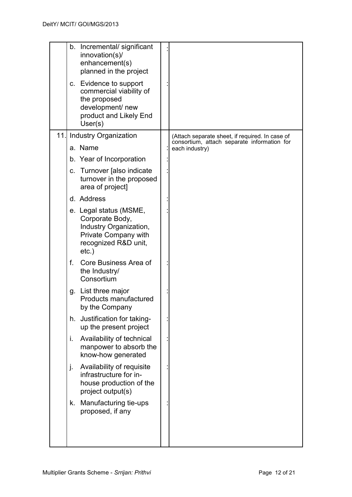|     |    | b. Incremental/significant<br>innovation(s)/<br>enhancement(s)<br>planned in the project                                        |                                                               |
|-----|----|---------------------------------------------------------------------------------------------------------------------------------|---------------------------------------------------------------|
|     |    | c. Evidence to support<br>commercial viability of<br>the proposed<br>development/ new<br>product and Likely End<br>User(s)      |                                                               |
| 11. |    | <b>Industry Organization</b>                                                                                                    | (Attach separate sheet, if required. In case of               |
|     |    | a. Name                                                                                                                         | consortium, attach separate information for<br>each industry) |
|     |    | b. Year of Incorporation                                                                                                        |                                                               |
|     |    | c. Turnover [also indicate<br>turnover in the proposed<br>area of project]                                                      |                                                               |
|     |    | d. Address                                                                                                                      |                                                               |
|     |    | e. Legal status (MSME,<br>Corporate Body,<br>Industry Organization,<br>Private Company with<br>recognized R&D unit,<br>$etc.$ ) |                                                               |
|     | f. | Core Business Area of<br>the Industry/<br>Consortium                                                                            |                                                               |
|     |    | g. List three major<br>Products manufactured<br>by the Company                                                                  |                                                               |
|     | h. | Justification for taking-<br>up the present project                                                                             |                                                               |
|     | i. | Availability of technical<br>manpower to absorb the<br>know-how generated                                                       |                                                               |
|     | j. | Availability of requisite<br>infrastructure for in-<br>house production of the<br>project output(s)                             |                                                               |
|     | k. | Manufacturing tie-ups<br>proposed, if any                                                                                       |                                                               |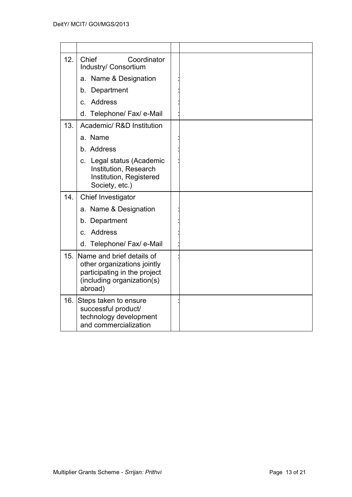| 12. | Coordinator<br>Chief<br>Industry/ Consortium                                                                                      |  |
|-----|-----------------------------------------------------------------------------------------------------------------------------------|--|
|     | a. Name & Designation                                                                                                             |  |
|     | b. Department                                                                                                                     |  |
|     | c. Address                                                                                                                        |  |
|     | d. Telephone/ Fax/ e-Mail                                                                                                         |  |
| 13. | Academic/ R&D Institution                                                                                                         |  |
|     | a. Name                                                                                                                           |  |
|     | b. Address                                                                                                                        |  |
|     | c. Legal status (Academic<br>Institution, Research<br>Institution, Registered<br>Society, etc.)                                   |  |
| 14. | Chief Investigator                                                                                                                |  |
|     | a. Name & Designation                                                                                                             |  |
|     | b. Department                                                                                                                     |  |
|     | c. Address                                                                                                                        |  |
|     | d. Telephone/ Fax/ e-Mail                                                                                                         |  |
| 15. | Name and brief details of<br>other organizations jointly<br>participating in the project<br>(including organization(s)<br>abroad) |  |
| 16. | Steps taken to ensure<br>successful product/<br>technology development<br>and commercialization                                   |  |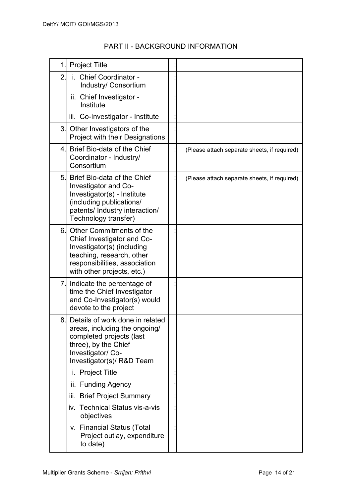| 1.             | <b>Project Title</b>                                                                                                                                                             |                                              |
|----------------|----------------------------------------------------------------------------------------------------------------------------------------------------------------------------------|----------------------------------------------|
| $\overline{2}$ | i. Chief Coordinator -<br>Industry/ Consortium                                                                                                                                   |                                              |
|                | ii. Chief Investigator -<br>Institute                                                                                                                                            |                                              |
|                | iii. Co-Investigator - Institute                                                                                                                                                 |                                              |
| 3.             | Other Investigators of the<br><b>Project with their Designations</b>                                                                                                             |                                              |
| 4.             | Brief Bio-data of the Chief<br>Coordinator - Industry/<br>Consortium                                                                                                             | (Please attach separate sheets, if required) |
| 5.             | Brief Bio-data of the Chief<br>Investigator and Co-<br>Investigator(s) - Institute<br>(including publications/<br>patents/ Industry interaction/<br>Technology transfer)         | (Please attach separate sheets, if required) |
| 6.             | Other Commitments of the<br>Chief Investigator and Co-<br>Investigator(s) (including<br>teaching, research, other<br>responsibilities, association<br>with other projects, etc.) |                                              |
| 7.             | Indicate the percentage of<br>time the Chief Investigator<br>and Co-Investigator(s) would<br>devote to the project                                                               |                                              |
| 8.             | Details of work done in related<br>areas, including the ongoing/<br>completed projects (last<br>three), by the Chief<br>Investigator/ Co-<br>Investigator(s)/ R&D Team           |                                              |
|                | i. Project Title                                                                                                                                                                 |                                              |
|                | ii. Funding Agency                                                                                                                                                               |                                              |
|                | iii. Brief Project Summary                                                                                                                                                       |                                              |
|                | iv. Technical Status vis-a-vis<br>objectives                                                                                                                                     |                                              |
|                | v. Financial Status (Total<br>Project outlay, expenditure<br>to date)                                                                                                            |                                              |

## PART II - BACKGROUND INFORMATION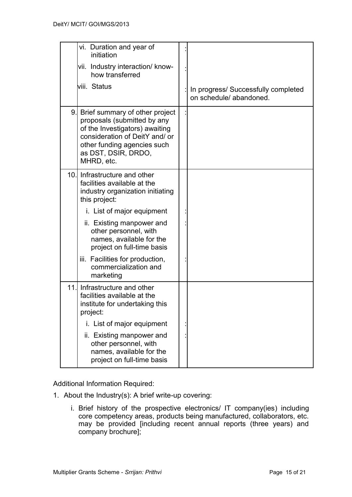|      | vi. Duration and year of<br>initiation                                                                                                                                                                |                                                               |
|------|-------------------------------------------------------------------------------------------------------------------------------------------------------------------------------------------------------|---------------------------------------------------------------|
|      | vii. Industry interaction/ know-<br>how transferred                                                                                                                                                   |                                                               |
|      | viii. Status                                                                                                                                                                                          | In progress/ Successfully completed<br>on schedule/abandoned. |
| 9.   | Brief summary of other project<br>proposals (submitted by any<br>of the Investigators) awaiting<br>consideration of DeitY and/ or<br>other funding agencies such<br>as DST, DSIR, DRDO,<br>MHRD, etc. |                                                               |
| 10.1 | Infrastructure and other<br>facilities available at the<br>industry organization initiating<br>this project:                                                                                          |                                                               |
|      | i. List of major equipment                                                                                                                                                                            |                                                               |
|      | ii. Existing manpower and<br>other personnel, with<br>names, available for the<br>project on full-time basis                                                                                          |                                                               |
|      | iii. Facilities for production,<br>commercialization and<br>marketing                                                                                                                                 |                                                               |
| 11.  | Infrastructure and other<br>facilities available at the<br>institute for undertaking this<br>project:                                                                                                 |                                                               |
|      | i. List of major equipment                                                                                                                                                                            |                                                               |
|      | ii. Existing manpower and<br>other personnel, with<br>names, available for the<br>project on full-time basis                                                                                          |                                                               |

Additional Information Required:

- 1. About the Industry(s): A brief write-up covering:
	- i. Brief history of the prospective electronics/ IT company(ies) including core competency areas, products being manufactured, collaborators, etc. may be provided [including recent annual reports (three years) and company brochure];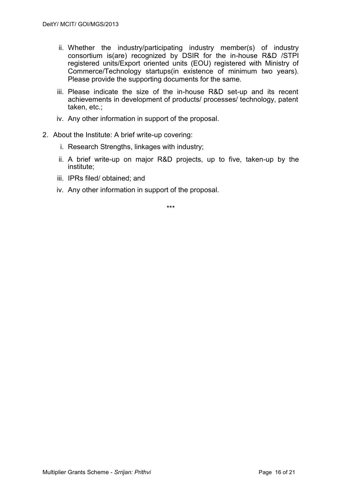- ii. Whether the industry/participating industry member(s) of industry consortium is(are) recognized by DSIR for the in-house R&D /STPI registered units/Export oriented units (EOU) registered with Ministry of Commerce/Technology startups(in existence of minimum two years). Please provide the supporting documents for the same.
- iii. Please indicate the size of the in-house R&D set-up and its recent achievements in development of products/ processes/ technology, patent taken, etc.;
- iv. Any other information in support of the proposal.
- 2. About the Institute: A brief write-up covering:
	- i. Research Strengths, linkages with industry;
	- ii. A brief write-up on major R&D projects, up to five, taken-up by the institute;
	- iii. IPRs filed/ obtained; and
	- iv. Any other information in support of the proposal.

\*\*\*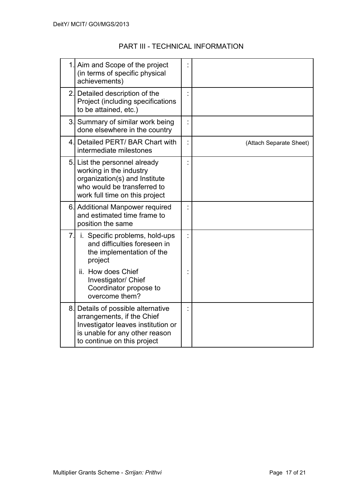# PART III - TECHNICAL INFORMATION

|    | 1. Aim and Scope of the project<br>(in terms of specific physical<br>achievements)                                                                                      |                         |
|----|-------------------------------------------------------------------------------------------------------------------------------------------------------------------------|-------------------------|
|    | 2. Detailed description of the<br>Project (including specifications<br>to be attained, etc.)                                                                            |                         |
|    | 3. Summary of similar work being<br>done elsewhere in the country                                                                                                       |                         |
|    | 4. Detailed PERT/ BAR Chart with<br>intermediate milestones                                                                                                             | (Attach Separate Sheet) |
|    | 5. List the personnel already<br>working in the industry<br>organization(s) and Institute<br>who would be transferred to<br>work full time on this project              |                         |
|    | 6. Additional Manpower required<br>and estimated time frame to<br>position the same                                                                                     |                         |
| 7. | i. Specific problems, hold-ups<br>and difficulties foreseen in<br>the implementation of the<br>project                                                                  |                         |
|    | ii. How does Chief<br>Investigator/ Chief<br>Coordinator propose to<br>overcome them?                                                                                   |                         |
|    | 8. Details of possible alternative<br>arrangements, if the Chief<br>Investigator leaves institution or<br>is unable for any other reason<br>to continue on this project |                         |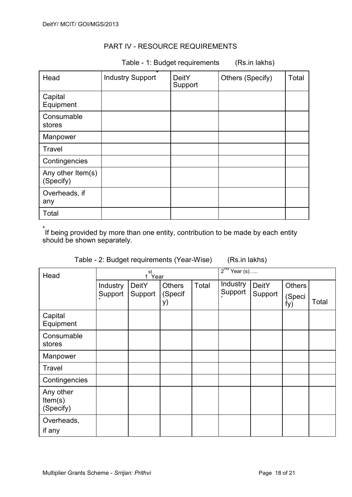#### PART IV - RESOURCE REQUIREMENTS

Table - 1: Budget requirements (Rs.in lakhs)

| Head                           | *<br><b>Industry Support</b> | <b>DeitY</b><br>Support | Others (Specify) | Total |
|--------------------------------|------------------------------|-------------------------|------------------|-------|
| Capital<br>Equipment           |                              |                         |                  |       |
| Consumable<br>stores           |                              |                         |                  |       |
| Manpower                       |                              |                         |                  |       |
| Travel                         |                              |                         |                  |       |
| Contingencies                  |                              |                         |                  |       |
| Any other Item(s)<br>(Specify) |                              |                         |                  |       |
| Overheads, if<br>any           |                              |                         |                  |       |
| Total                          |                              |                         |                  |       |

\* If being provided by more than one entity, contribution to be made by each entity should be shown separately.

(Rs.in lakhs)

| Head                              | st<br>1 Year        |                         |                         |       | $2^{\text{ru}}$ Year (s) |                         |                                |       |
|-----------------------------------|---------------------|-------------------------|-------------------------|-------|--------------------------|-------------------------|--------------------------------|-------|
|                                   | Industry<br>Support | <b>DeitY</b><br>Support | Others<br>(Specif<br>y) | Total | Industry<br>Support      | <b>DeitY</b><br>Support | <b>Others</b><br>(Speci<br>fy) | Total |
| Capital<br>Equipment              |                     |                         |                         |       |                          |                         |                                |       |
| Consumable<br>stores              |                     |                         |                         |       |                          |                         |                                |       |
| Manpower                          |                     |                         |                         |       |                          |                         |                                |       |
| <b>Travel</b>                     |                     |                         |                         |       |                          |                         |                                |       |
| Contingencies                     |                     |                         |                         |       |                          |                         |                                |       |
| Any other<br>Item(s)<br>(Specify) |                     |                         |                         |       |                          |                         |                                |       |
| Overheads,<br>if any              |                     |                         |                         |       |                          |                         |                                |       |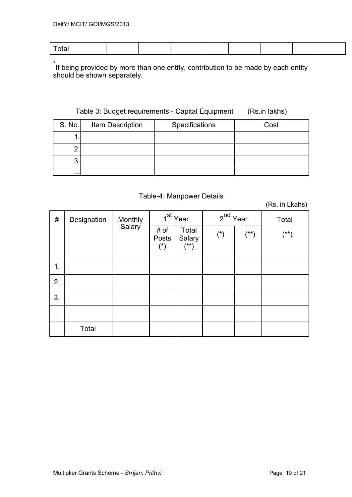| $\tau$ otal |  |  |  |
|-------------|--|--|--|

\* If being provided by more than one entity, contribution to be made by each entity should be shown separately.

#### Table 3: Budget requirements - Capital Equipment (Rs.in lakhs)

| S. No.   | Item Description | Specifications | Cost |
|----------|------------------|----------------|------|
|          |                  |                |      |
|          |                  |                |      |
| ◠<br>J   |                  |                |      |
| $\cdots$ |                  |                |      |

#### Table-4: Manpower Details

(Rs. in Lkahs)

| $\#$                 | Designation | Monthly<br>Salary | 1 <sup>st</sup> Year                   |                           | $2^{nd}$ Year         |        | Total  |
|----------------------|-------------|-------------------|----------------------------------------|---------------------------|-----------------------|--------|--------|
|                      |             |                   | # of<br>Posts<br>$(\dot{\phantom{a}})$ | Total<br>Salary<br>$(**)$ | $(\dot{\phantom{a}})$ | $(**)$ | $(**)$ |
| 1.                   |             |                   |                                        |                           |                       |        |        |
| 2.                   |             |                   |                                        |                           |                       |        |        |
| 3.                   |             |                   |                                        |                           |                       |        |        |
| $\sim$ $\sim$ $\sim$ |             |                   |                                        |                           |                       |        |        |
|                      | Total       |                   |                                        |                           |                       |        |        |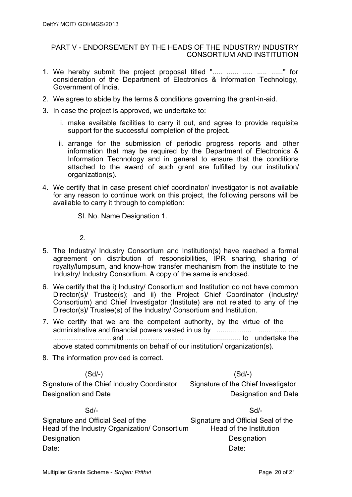#### PART V - ENDORSEMENT BY THE HEADS OF THE INDUSTRY/ INDUSTRY CONSORTIUM AND INSTITUTION

- 1. We hereby submit the project proposal titled "..... ...... ..... ...... ......" for consideration of the Department of Electronics & Information Technology, Government of India.
- 2. We agree to abide by the terms & conditions governing the grant-in-aid.
- 3. In case the project is approved, we undertake to:
	- i. make available facilities to carry it out, and agree to provide requisite support for the successful completion of the project.
	- ii. arrange for the submission of periodic progress reports and other information that may be required by the Department of Electronics & Information Technology and in general to ensure that the conditions attached to the award of such grant are fulfilled by our institution/ organization(s).
- 4. We certify that in case present chief coordinator/ investigator is not available for any reason to continue work on this project, the following persons will be available to carry it through to completion:

Sl. No. Name Designation 1.

2.

- 5. The Industry/ Industry Consortium and Institution(s) have reached a formal agreement on distribution of responsibilities, IPR sharing, sharing of royalty/lumpsum, and know-how transfer mechanism from the institute to the Industry/ Industry Consortium. A copy of the same is enclosed.
- 6. We certify that the i) Industry/ Consortium and Institution do not have common Director(s)/ Trustee(s); and ii) the Project Chief Coordinator (Industry/ Consortium) and Chief Investigator (Institute) are not related to any of the Director(s)/ Trustee(s) of the Industry/ Consortium and Institution.
- 7. We certify that we are the competent authority, by the virtue of the administrative and financial powers vested in us by .......... ....... ...... ...... ..... .................................. and .................................. ................ to undertake the above stated commitments on behalf of our institution/ organization(s).
- 8. The information provided is correct.

(Sd/-) (Sd/-)

Signature of the Chief Industry Coordinator Signature of the Chief Investigator Designation and Date **Designation and Date** Designation and Date

| $Sd/-$                                        | $Sd$ -                             |
|-----------------------------------------------|------------------------------------|
| Signature and Official Seal of the            | Signature and Official Seal of the |
| Head of the Industry Organization/ Consortium | Head of the Institution            |
| Designation                                   | Designation                        |
| Date:                                         | Date:                              |